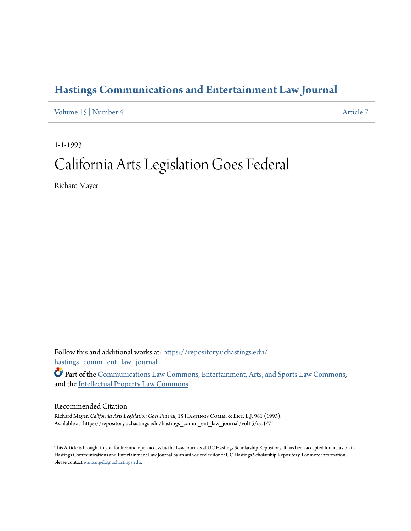## **[Hastings Communications and Entertainment Law Journal](https://repository.uchastings.edu/hastings_comm_ent_law_journal?utm_source=repository.uchastings.edu%2Fhastings_comm_ent_law_journal%2Fvol15%2Fiss4%2F7&utm_medium=PDF&utm_campaign=PDFCoverPages)**

[Volume 15](https://repository.uchastings.edu/hastings_comm_ent_law_journal/vol15?utm_source=repository.uchastings.edu%2Fhastings_comm_ent_law_journal%2Fvol15%2Fiss4%2F7&utm_medium=PDF&utm_campaign=PDFCoverPages) | [Number 4](https://repository.uchastings.edu/hastings_comm_ent_law_journal/vol15/iss4?utm_source=repository.uchastings.edu%2Fhastings_comm_ent_law_journal%2Fvol15%2Fiss4%2F7&utm_medium=PDF&utm_campaign=PDFCoverPages) [Article 7](https://repository.uchastings.edu/hastings_comm_ent_law_journal/vol15/iss4/7?utm_source=repository.uchastings.edu%2Fhastings_comm_ent_law_journal%2Fvol15%2Fiss4%2F7&utm_medium=PDF&utm_campaign=PDFCoverPages)

1-1-1993

# California Arts Legislation Goes Federal

Richard Mayer

Follow this and additional works at: [https://repository.uchastings.edu/](https://repository.uchastings.edu/hastings_comm_ent_law_journal?utm_source=repository.uchastings.edu%2Fhastings_comm_ent_law_journal%2Fvol15%2Fiss4%2F7&utm_medium=PDF&utm_campaign=PDFCoverPages) [hastings\\_comm\\_ent\\_law\\_journal](https://repository.uchastings.edu/hastings_comm_ent_law_journal?utm_source=repository.uchastings.edu%2Fhastings_comm_ent_law_journal%2Fvol15%2Fiss4%2F7&utm_medium=PDF&utm_campaign=PDFCoverPages)

Part of the [Communications Law Commons,](http://network.bepress.com/hgg/discipline/587?utm_source=repository.uchastings.edu%2Fhastings_comm_ent_law_journal%2Fvol15%2Fiss4%2F7&utm_medium=PDF&utm_campaign=PDFCoverPages) [Entertainment, Arts, and Sports Law Commons,](http://network.bepress.com/hgg/discipline/893?utm_source=repository.uchastings.edu%2Fhastings_comm_ent_law_journal%2Fvol15%2Fiss4%2F7&utm_medium=PDF&utm_campaign=PDFCoverPages) and the [Intellectual Property Law Commons](http://network.bepress.com/hgg/discipline/896?utm_source=repository.uchastings.edu%2Fhastings_comm_ent_law_journal%2Fvol15%2Fiss4%2F7&utm_medium=PDF&utm_campaign=PDFCoverPages)

#### Recommended Citation

Richard Mayer, *California Arts Legislation Goes Federal*, 15 HASTINGS COMM. & ENT. L.J. 981 (1993). Available at: https://repository.uchastings.edu/hastings\_comm\_ent\_law\_journal/vol15/iss4/7

This Article is brought to you for free and open access by the Law Journals at UC Hastings Scholarship Repository. It has been accepted for inclusion in Hastings Communications and Entertainment Law Journal by an authorized editor of UC Hastings Scholarship Repository. For more information, please contact [wangangela@uchastings.edu.](mailto:wangangela@uchastings.edu)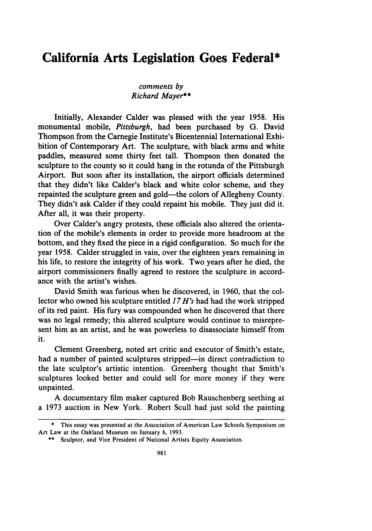### **California Arts Legislation Goes Federal\***

#### *comments by Richard Mayer\*\**

Initially, Alexander Calder was pleased with the year 1958. His monumental mobile, *Pittsburgh,* had been purchased by G. David Thompson from the Carnegie Institute's Bicentennial International Exhibition of Contemporary Art. The sculpture, with black arms and white paddles, measured some thirty feet tall. Thompson then donated the sculpture to the county so it could hang in the rotunda of the Pittsburgh Airport. But soon after its installation, the airport officials determined that they didn't like Calder's black and white color scheme, and they repainted the sculpture green and gold—the colors of Allegheny County. They didn't ask Calder if they could repaint his mobile. They just did it. After all, it was their property.

Over Calder's angry protests, these officials also altered the orientation of the mobile's elements in order to provide more headroom at the bottom, and they fixed the piece in a rigid configuration. So much for the year 1958. Calder struggled in vain, over the eighteen years remaining in his life, to restore the integrity of his work. Two years after he died, the airport commissioners finally agreed to restore the sculpture in accordance with the artist's wishes.

David Smith was furious when he discovered, in 1960, that the collector who owned his sculpture entitled *17 H's* had had the work stripped of its red paint. His fury was compounded when he discovered that there was no legal remedy; this altered sculpture would continue to misrepresent him as an artist, and he was powerless to disassociate himself from it.

Clement Greenberg, noted art critic and executor of Smith's estate, had a number of painted sculptures stripped—in direct contradiction to the late sculptor's artistic intention. Greenberg thought that Smith's sculptures looked better and could sell for more money if they were unpainted.

A documentary film maker captured Bob Rauschenberg seething at a 1973 auction in New York. Robert Scull had just sold the painting

<sup>\*</sup> This essay was presented at the Association of American Law Schools Symposium on Art Law at the Oakland Museum on January 6, 1993.

<sup>\*\*</sup> Sculptor, and Vice President of National Artists Equity Association.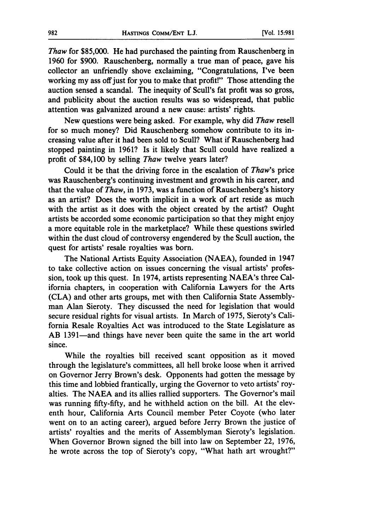*Thaw* for \$85,000. He had purchased the painting from Rauschenberg in **1960** for **\$900.** Rauschenberg, normally a true man of peace, gave his collector an unfriendly shove exclaiming, "Congratulations, I've been working my ass off just for you to make that profit!" Those attending the auction sensed a scandal. The inequity of Scull's fat profit was so gross, and publicity about the auction results was so widespread, that public attention was galvanized around a new cause: artists' rights.

New questions were being asked. For example, why did *Thaw* resell for so much money? Did Rauschenberg somehow contribute to its increasing value after it had been sold to Scull? What if Rauschenberg had stopped painting in **1961?** Is it likely that Scull could have realized a profit of \$84,100 **by** selling *Thaw* twelve years later?

Could it be that the driving force in the escalation of *Thaw's* price was Rauschenberg's continuing investment and growth in his career, and that the value of *Thaw,* in **1973,** was a function of Rauschenberg's history as an artist? Does the worth implicit in a work of art reside as much with the artist as it does with the object created **by** the artist? Ought artists be accorded some economic participation so that they might enjoy a more equitable role in the marketplace? While these questions swirled within the dust cloud of controversy engendered **by** the Scull auction, the quest for artists' resale royalties was born.

The National Artists Equity Association **(NAEA),** founded in 1947 to take collective action on issues concerning the visual artists' profession, took up this quest. In 1974, artists representing NAEA's three California chapters, in cooperation with California Lawyers for the Arts **(CLA)** and other arts groups, met with then California State Assemblyman Alan Sieroty. They discussed the need for legislation that would secure residual rights for visual artists. In March of **1975,** Sieroty's California Resale Royalties Act was introduced to the State Legislature as AB 1391—and things have never been quite the same in the art world since.

While the royalties bill received scant opposition as it moved through the legislature's committees, all hell broke loose when it arrived on Governor Jerry Brown's desk. Opponents had gotten the message **by** this time and lobbied frantically, urging the Governor to veto artists' royalties. The **NAEA** and its allies rallied supporters. The Governor's mail was running **fifty-fifty,** and he withheld action on the bill. At the eleventh hour, California Arts Council member Peter Coyote (who later went on to an acting career), argued before Jerry Brown the justice of artists' royalties and the merits of Assemblyman Sieroty's legislation. When Governor Brown signed the bill into law on September 22, **1976,** he wrote across the top of Sieroty's copy, "What hath art wrought?"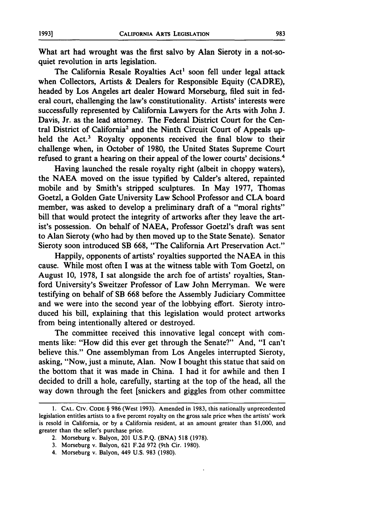What art had wrought was the first salvo **by** Alan Sieroty in a not-soquiet revolution in arts legislation.

The California Resale Royalties Act' soon fell under legal attack when Collectors, Artists & Dealers for Responsible Equity (CADRE). headed **by** Los Angeles art dealer Howard Morseburg, filed suit in federal court, challenging the law's constitutionality. Artists' interests were successfully represented **by** California Lawyers for the Arts with John **J.** Davis, Jr. as the lead attorney. The Federal District Court for the Central District of California' and the Ninth Circuit Court of Appeals upheld the Act.<sup>3</sup> Royalty opponents received the final blow to their challenge when, in October of **1980,** the United States Supreme Court refused to grant a hearing on their appeal of the lower courts' decisions.4

Having launched the resale royalty right (albeit in choppy waters), the **NAEA** moved on the issue typified **by** Calder's altered, repainted mobile and **by** Smith's stripped sculptures. In May **1977,** Thomas Goetzl, a Golden Gate University Law School Professor and **CLA** board member, was asked to develop a preliminary draft of a "moral rights" bill that would protect the integrity of artworks after they leave the artist's possession. On behalf of **NAEA,** Professor Goetzl's draft was sent to Alan Sieroty (who had **by** then moved up to the State Senate). Senator Sieroty soon introduced SB **668,** "The California Art Preservation Act."

Happily, opponents of artists' royalties supported the **NAEA** in this cause. While most often I was at the witness table with Tom Goetzl, on August **10, 1978, I** sat alongside the arch foe of artists' royalties, Stanford University's Sweitzer Professor of Law John Merryman. We were testifying on behalf of SB **668** before the Assembly Judiciary Committee and we were into the second year of the lobbying effort. Sieroty introduced his bill, explaining that this legislation would protect artworks from being intentionally altered or destroyed.

The committee received this innovative legal concept with comments like: "How did this ever get through the Senate?" And, **"I** can't believe this." One assemblyman from Los Angeles interrupted Sieroty, asking, "Now, just a minute, Alan. Now **I** bought this statue that said on the bottom that it was made in China. **I** had it for awhile and then I decided to drill a hole, carefully, starting at the top of the head, all the way down through the feet [snickers and giggles from other committee

- 2. Morseburg v. Balyon, 201 U.S.P.Q. (BNA) **518** (1978).
- 3. Morseburg v. Balyon, 621 F.2d 972 (9th Cir. 1980).
- 4. Morseburg v. Balyon, 449 U.S. 983 (1980).

**<sup>1.</sup> CAL. CIV. CODE** § **986** (West 1993). Amended in 1983, this nationally unprecedented legislation entitles artists to a five percent royalty on the gross sale price when the artists' work is resold in California, or by a California resident, at an amount greater than **\$1,000,** and greater than the seller's purchase price.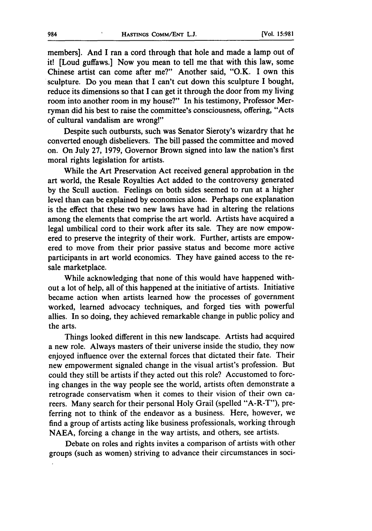members]. And I ran a cord through that hole and made a lamp out of it! [Loud guffaws.] Now you mean to tell me that with this law, some Chinese artist can come after me?" Another said, "O.K. I own this sculpture. Do you mean that I can't cut down this sculpture I bought, reduce its dimensions so that I can get it through the door from my living room into another room in my house?" In his testimony, Professor Merryman did his best to raise the committee's consciousness, offering, "Acts of cultural vandalism are wrong!"

Despite such outbursts, such was Senator Sieroty's wizardry that he converted enough disbelievers. The bill passed the committee and moved on. On July 27, 1979, Governor Brown signed into law the nation's first moral rights legislation for artists.

While the Art Preservation Act received general approbation in the art world, the Resale Royalties Act added to the controversy generated by the Scull auction. Feelings on both sides seemed to run at a higher level than can be explained by economics alone. Perhaps one explanation is the effect that these two new laws have had in altering the relations among the elements that comprise the art world. Artists have acquired a legal umbilical cord to their work after its sale. They are now empowered to preserve the integrity of their work. Further, artists are empowered to move from their prior passive status and become more active participants in art world economics. They have gained access to the resale marketplace.

While acknowledging that none of this would have happened without a lot of help, all of this happened at the initiative of artists. Initiative became action when artists learned how the processes of government worked, learned advocacy techniques, and forged ties with powerful allies. In so doing, they achieved remarkable change in public policy and the arts.

Things looked different in this new landscape. Artists had acquired a new role. Always masters of their universe inside the studio, they now enjoyed influence over the external forces that dictated their fate. Their new empowerment signaled change in the visual artist's profession. But could they still be artists if they acted out this role? Accustomed to forcing changes in the way people see the world, artists often demonstrate a retrograde conservatism when it comes to their vision of their own careers. Many search for their personal Holy Grail (spelled "A-R-T"), preferring not to think of the endeavor as a business. Here, however, we find a group of artists acting like business professionals, working through NAEA, forcing a change in the way artists, and others, see artists.

Debate on roles and rights invites a comparison of artists with other groups (such as women) striving to advance their circumstances in soci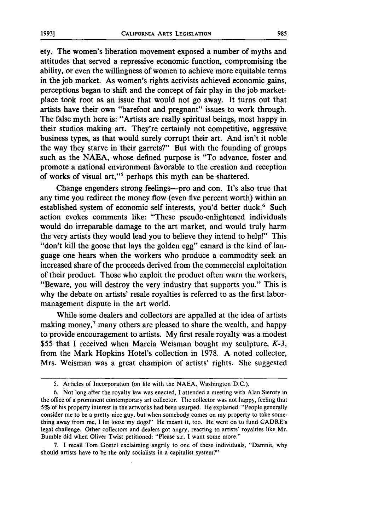ety. The women's liberation movement exposed a number of myths and attitudes that served a repressive economic function, compromising the ability, or even the willingness of women to achieve more equitable terms in the job market. As women's rights activists achieved economic gains, perceptions began to shift and the concept of fair play in the job marketplace took root as an issue that would not go away. It turns out that artists have their own "barefoot and pregnant" issues to work through. The false myth here is: "Artists are really spiritual beings, most happy in their studios making art. They're certainly not competitive, aggressive business types, as that would surely corrupt their art. And isn't it noble the way they starve in their garrets?" But with the founding of groups such as the NAEA, whose defined purpose is "To advance, foster and promote a national environment favorable to the creation and reception of works of visual art,"<sup>5</sup> perhaps this myth can be shattered.

Change engenders strong feelings--pro and con. It's also true that any time you redirect the money flow (even five percent worth) within an established system of economic self interests, you'd better duck.<sup>6</sup> Such action evokes comments like: "These pseudo-enlightened individuals would do irreparable damage to the art market, and would truly harm the very artists they would lead you to believe they intend to help!" This "don't kill the goose that lays the golden egg" canard is the kind of language one hears when the workers who produce a commodity seek an increased share of the proceeds derived from the commercial exploitation of their product. Those who exploit the product often warn the workers, "Beware, you will destroy the very industry that supports you." This is why the debate on artists' resale royalties is referred to as the first labormanagement dispute in the art world.

While some dealers and collectors are appalled at the idea of artists making money, $<sup>7</sup>$  many others are pleased to share the wealth, and happy</sup> to provide encouragement to artists. My first resale royalty was a modest \$55 that I received when Marcia Weisman bought my sculpture, *K-3,* from the Mark Hopkins Hotel's collection in 1978. A noted collector, Mrs. Weisman was a great champion of artists' rights. She suggested

7. I recall Tom Goetzl exclaiming angrily to one of these individuals, "Damnit, why should artists have to be the only socialists in a capitalist system?"

<sup>5.</sup> Articles of Incorporation (on file with the NAEA, Washington D.C.).

<sup>6.</sup> Not long after the royalty law was enacted, I attended a meeting with Alan Sieroty in the office of a prominent contemporary art collector. The collector was not happy, feeling that **5%** of his property interest in the artworks had been usurped. He explained: "People generally consider me to be a pretty nice guy, but when somebody comes on my property to take something away from me, I let loose my dogs!" He meant it, too. He went on to fund CADRE's legal challenge. Other collectors and dealers got angry, reacting to artists' royalties like Mr. Bumble did when Oliver Twist petitioned: "Please sir, I want some more."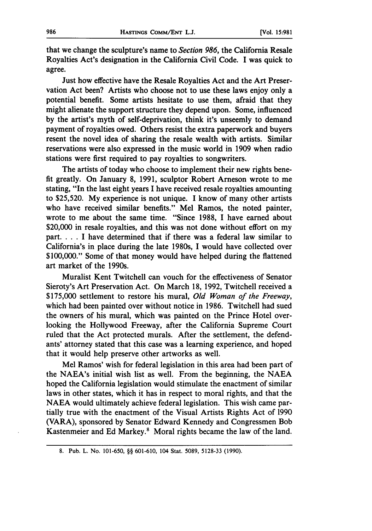that we change the sculpture's name to *Section 986,* the California Resale Royalties Act's designation in the California Civil Code. I was quick to agree.

Just how effective have the Resale Royalties Act and the Art Preservation Act been? Artists who choose not to use these laws enjoy only a potential benefit. Some artists hesitate to use them, afraid that they might alienate the support structure they depend upon. Some, influenced **by** the artist's myth of self-deprivation, think it's unseemly to demand payment of royalties owed. Others resist the extra paperwork and buyers resent the novel idea of sharing the resale wealth with artists. Similar reservations were also expressed in the music world in **1909** when radio stations were first required to pay royalties to songwriters.

The artists of today who choose to implement their new rights bene**fit** greatly. On January **8, 1991,** sculptor Robert Arneson wrote to me stating, "In the last eight years I have received resale royalties amounting to **\$25,520. My** experience is not unique. **I** know of many other artists who have received similar benefits." Mel Ramos, the noted painter, wrote to me about the same time. "Since **1988, I** have earned about \$20,000 in resale royalties, and this was not done without effort on my part. . . . I have determined that if there was a federal law similar to California's in place during the late 1980s, I would have collected over **\$100,000."** Some of that money would have helped during the flattened art market of the 1990s.

Muralist Kent Twitchell can vouch for the effectiveness of Senator Sieroty's Art Preservation Act. On March **18, 1992,** Twitchell received a **\$175,000** settlement to restore his mural, *Old Woman of the Freeway,* which had been painted over without notice in **1986.** Twitchell had sued the owners of his mural, which was painted on the Prince Hotel overlooking the Hollywood Freeway, after the California Supreme Court ruled that the Act protected murals. After the settlement, the defendants' attorney stated that this case was a learning experience, and hoped that it would help preserve other artworks as well.

Mel Ramos' wish for federal legislation in this area had been part of the NAEA's initial wish list as well. From the beginning, the **NAEA** hoped the California legislation would stimulate the enactment of similar laws in other states, which it has in respect to moral rights, and that the **NAEA** would ultimately achieve federal legislation. This wish came partially true with the enactment of the Visual Artists Rights Act of **1990** (VARA), sponsored **by** Senator Edward Kennedy and Congressmen Bob Kastenmeier and **Ed** Markey.' Moral rights became the law of the land.

**<sup>8.</sup>** Pub. L. No. 101-650, §§ 601-610, 104 Stat. 5089, 5128-33 (1990).